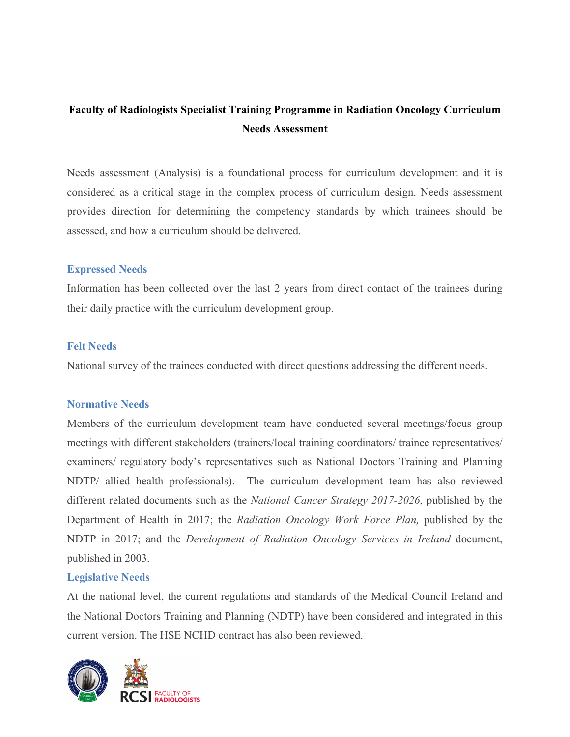# **Faculty of Radiologists Specialist Training Programme in Radiation Oncology Curriculum Needs Assessment**

Needs assessment (Analysis) is a foundational process for curriculum development and it is considered as a critical stage in the complex process of curriculum design. Needs assessment provides direction for determining the competency standards by which trainees should be assessed, and how a curriculum should be delivered.

### **Expressed Needs**

Information has been collected over the last 2 years from direct contact of the trainees during their daily practice with the curriculum development group.

#### **Felt Needs**

National survey of the trainees conducted with direct questions addressing the different needs.

### **Normative Needs**

Members of the curriculum development team have conducted several meetings/focus group meetings with different stakeholders (trainers/local training coordinators/ trainee representatives/ examiners/ regulatory body's representatives such as National Doctors Training and Planning NDTP/ allied health professionals). The curriculum development team has also reviewed different related documents such as the *National Cancer Strategy 2017-2026*, published by the Department of Health in 2017; the *Radiation Oncology Work Force Plan,* published by the NDTP in 2017; and the *Development of Radiation Oncology Services in Ireland* document, published in 2003.

### **Legislative Needs**

At the national level, the current regulations and standards of the Medical Council Ireland and the National Doctors Training and Planning (NDTP) have been considered and integrated in this current version. The HSE NCHD contract has also been reviewed.